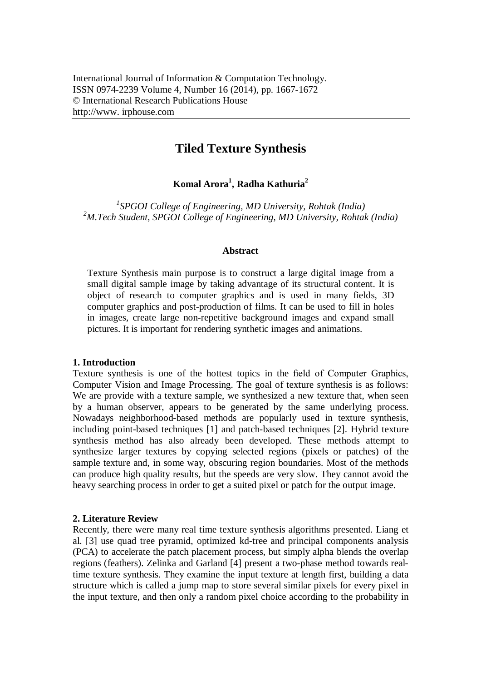# **Tiled Texture Synthesis**

## **Komal Arora<sup>1</sup> , Radha Kathuria<sup>2</sup>**

*1 SPGOI College of Engineering, MD University, Rohtak (India) <sup>2</sup>M.Tech Student, SPGOI College of Engineering, MD University, Rohtak (India)*

#### **Abstract**

Texture Synthesis main purpose is to construct a large digital image from a small digital sample image by taking advantage of its structural content. It is object of research to computer graphics and is used in many fields, 3D computer graphics and post-production of films. It can be used to fill in holes in images, create large non-repetitive background images and expand small pictures. It is important for rendering synthetic images and animations.

#### **1. Introduction**

Texture synthesis is one of the hottest topics in the field of Computer Graphics, Computer Vision and Image Processing. The goal of texture synthesis is as follows: We are provide with a texture sample, we synthesized a new texture that, when seen by a human observer, appears to be generated by the same underlying process. Nowadays neighborhood-based methods are popularly used in texture synthesis, including point-based techniques [1] and patch-based techniques [2]. Hybrid texture synthesis method has also already been developed. These methods attempt to synthesize larger textures by copying selected regions (pixels or patches) of the sample texture and, in some way, obscuring region boundaries. Most of the methods can produce high quality results, but the speeds are very slow. They cannot avoid the heavy searching process in order to get a suited pixel or patch for the output image.

#### **2. Literature Review**

Recently, there were many real time texture synthesis algorithms presented. Liang et al. [3] use quad tree pyramid, optimized kd-tree and principal components analysis (PCA) to accelerate the patch placement process, but simply alpha blends the overlap regions (feathers). Zelinka and Garland [4] present a two-phase method towards realtime texture synthesis. They examine the input texture at length first, building a data structure which is called a jump map to store several similar pixels for every pixel in the input texture, and then only a random pixel choice according to the probability in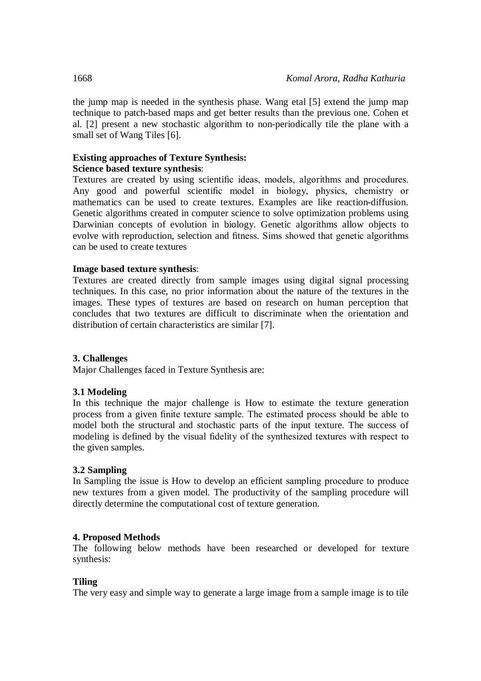the jump map is needed in the synthesis phase. Wang etal [5] extend the jump map technique to patch-based maps and get better results than the previous one. Cohen et al. [2] present a new stochastic algorithm to non-periodically tile the plane with a small set of Wang Tiles [6].

## **Existing approaches of Texture Synthesis:**

### **Science based texture synthesis**:

Textures are created by using scientific ideas, models, algorithms and procedures. Any good and powerful scientific model in biology, physics, chemistry or mathematics can be used to create textures. Examples are like reaction-diffusion. Genetic algorithms created in computer science to solve optimization problems using Darwinian concepts of evolution in biology. Genetic algorithms allow objects to evolve with reproduction, selection and fitness. Sims showed that genetic algorithms can be used to create textures

### **Image based texture synthesis**:

Textures are created directly from sample images using digital signal processing techniques. In this case, no prior information about the nature of the textures in the images. These types of textures are based on research on human perception that concludes that two textures are difficult to discriminate when the orientation and distribution of certain characteristics are similar [7].

#### **3. Challenges**

Major Challenges faced in Texture Synthesis are:

## **3.1 Modeling**

In this technique the major challenge is How to estimate the texture generation process from a given finite texture sample. The estimated process should be able to model both the structural and stochastic parts of the input texture. The success of modeling is defined by the visual fidelity of the synthesized textures with respect to the given samples.

## **3.2 Sampling**

In Sampling the issue is How to develop an efficient sampling procedure to produce new textures from a given model. The productivity of the sampling procedure will directly determine the computational cost of texture generation.

#### **4. Proposed Methods**

The following below methods have been researched or developed for texture synthesis:

#### **Tiling**

The very easy and simple way to generate a large image from a sample image is to tile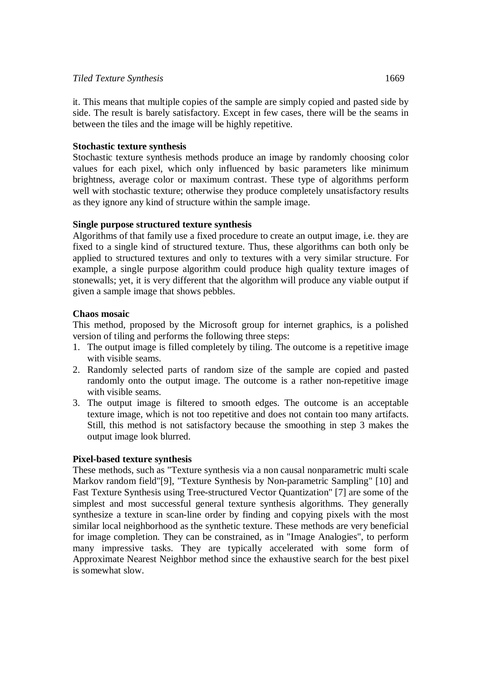#### *Tiled Texture Synthesis* 1669

it. This means that multiple copies of the sample are simply copied and pasted side by side. The result is barely satisfactory. Except in few cases, there will be the seams in between the tiles and the image will be highly repetitive.

#### **Stochastic texture synthesis**

Stochastic texture synthesis methods produce an image by randomly choosing color values for each pixel, which only influenced by basic parameters like minimum brightness, average color or maximum contrast. These type of algorithms perform well with stochastic texture; otherwise they produce completely unsatisfactory results as they ignore any kind of structure within the sample image.

### **Single purpose structured texture synthesis**

Algorithms of that family use a fixed procedure to create an output image, i.e. they are fixed to a single kind of structured texture. Thus, these algorithms can both only be applied to structured textures and only to textures with a very similar structure. For example, a single purpose algorithm could produce high quality texture images of stonewalls; yet, it is very different that the algorithm will produce any viable output if given a sample image that shows pebbles.

### **Chaos mosaic**

This method, proposed by the Microsoft group for internet graphics, is a polished version of tiling and performs the following three steps:

- 1. The output image is filled completely by tiling. The outcome is a repetitive image with visible seams.
- 2. Randomly selected parts of random size of the sample are copied and pasted randomly onto the output image. The outcome is a rather non-repetitive image with visible seams.
- 3. The output image is filtered to smooth edges. The outcome is an acceptable texture image, which is not too repetitive and does not contain too many artifacts. Still, this method is not satisfactory because the smoothing in step 3 makes the output image look blurred.

#### **Pixel-based texture synthesis**

These methods, such as "Texture synthesis via a non causal nonparametric multi scale Markov random field"[9], "Texture Synthesis by Non-parametric Sampling" [10] and Fast Texture Synthesis using Tree-structured Vector Quantization" [7] are some of the simplest and most successful general texture synthesis algorithms. They generally synthesize a texture in scan-line order by finding and copying pixels with the most similar local neighborhood as the synthetic texture. These methods are very beneficial for image completion. They can be constrained, as in "Image Analogies", to perform many impressive tasks. They are typically accelerated with some form of Approximate Nearest Neighbor method since the exhaustive search for the best pixel is somewhat slow.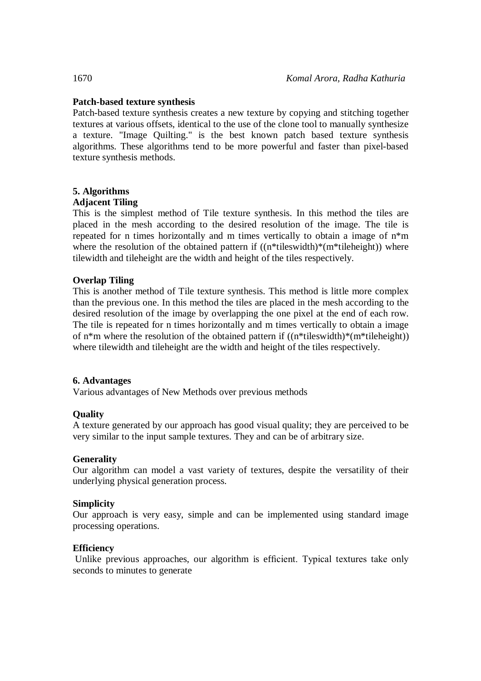## **Patch-based texture synthesis**

Patch-based texture synthesis creates a new texture by copying and stitching together textures at various offsets, identical to the use of the clone tool to manually synthesize a texture. "Image Quilting." is the best known patch based texture synthesis algorithms. These algorithms tend to be more powerful and faster than pixel-based texture synthesis methods.

## **5. Algorithms**

## **Adjacent Tiling**

This is the simplest method of Tile texture synthesis. In this method the tiles are placed in the mesh according to the desired resolution of the image. The tile is repeated for n times horizontally and m times vertically to obtain a image of n\*m where the resolution of the obtained pattern if  $((n^*tiles width)^*(m^*tilebright))$  where tilewidth and tileheight are the width and height of the tiles respectively.

## **Overlap Tiling**

This is another method of Tile texture synthesis. This method is little more complex than the previous one. In this method the tiles are placed in the mesh according to the desired resolution of the image by overlapping the one pixel at the end of each row. The tile is repeated for n times horizontally and m times vertically to obtain a image of  $n^*m$  where the resolution of the obtained pattern if  $((n^*tilles width)^*(m^*tileleneight))$ where tilewidth and tileheight are the width and height of the tiles respectively.

## **6. Advantages**

Various advantages of New Methods over previous methods

## **Quality**

A texture generated by our approach has good visual quality; they are perceived to be very similar to the input sample textures. They and can be of arbitrary size.

## **Generality**

Our algorithm can model a vast variety of textures, despite the versatility of their underlying physical generation process.

## **Simplicity**

Our approach is very easy, simple and can be implemented using standard image processing operations.

## **Efficiency**

Unlike previous approaches, our algorithm is efficient. Typical textures take only seconds to minutes to generate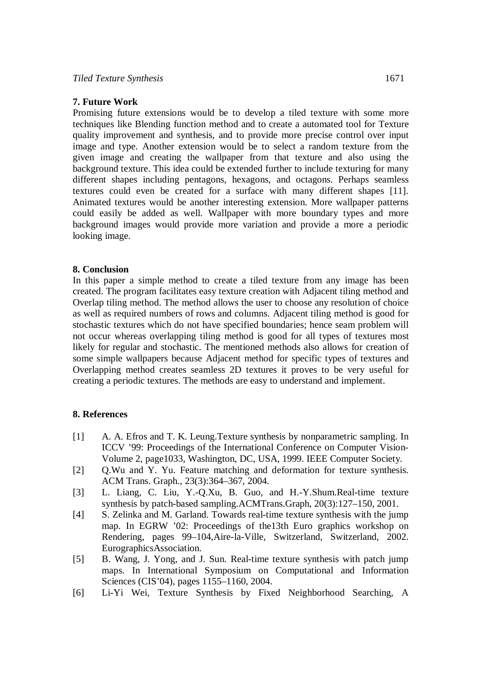#### **7. Future Work**

Promising future extensions would be to develop a tiled texture with some more techniques like Blending function method and to create a automated tool for Texture quality improvement and synthesis, and to provide more precise control over input image and type. Another extension would be to select a random texture from the given image and creating the wallpaper from that texture and also using the background texture. This idea could be extended further to include texturing for many different shapes including pentagons, hexagons, and octagons. Perhaps seamless textures could even be created for a surface with many different shapes [11]. Animated textures would be another interesting extension. More wallpaper patterns could easily be added as well. Wallpaper with more boundary types and more background images would provide more variation and provide a more a periodic looking image.

#### **8. Conclusion**

In this paper a simple method to create a tiled texture from any image has been created. The program facilitates easy texture creation with Adjacent tiling method and Overlap tiling method. The method allows the user to choose any resolution of choice as well as required numbers of rows and columns. Adjacent tiling method is good for stochastic textures which do not have specified boundaries; hence seam problem will not occur whereas overlapping tiling method is good for all types of textures most likely for regular and stochastic. The mentioned methods also allows for creation of some simple wallpapers because Adjacent method for specific types of textures and Overlapping method creates seamless 2D textures it proves to be very useful for creating a periodic textures. The methods are easy to understand and implement.

#### **8. References**

- [1] A. A. Efros and T. K. Leung.Texture synthesis by nonparametric sampling. In ICCV '99: Proceedings of the International Conference on Computer Vision-Volume 2, page1033, Washington, DC, USA, 1999. IEEE Computer Society.
- [2] Q.Wu and Y. Yu. Feature matching and deformation for texture synthesis. ACM Trans. Graph., 23(3):364–367, 2004.
- [3] L. Liang, C. Liu, Y.-Q.Xu, B. Guo, and H.-Y.Shum.Real-time texture synthesis by patch-based sampling.ACMTrans.Graph, 20(3):127–150, 2001.
- [4] S. Zelinka and M. Garland. Towards real-time texture synthesis with the jump map. In EGRW '02: Proceedings of the13th Euro graphics workshop on Rendering, pages 99–104,Aire-la-Ville, Switzerland, Switzerland, 2002. EurographicsAssociation.
- [5] B. Wang, J. Yong, and J. Sun. Real-time texture synthesis with patch jump maps. In International Symposium on Computational and Information Sciences (CIS'04), pages 1155–1160, 2004.
- [6] Li-Yi Wei, Texture Synthesis by Fixed Neighborhood Searching, A